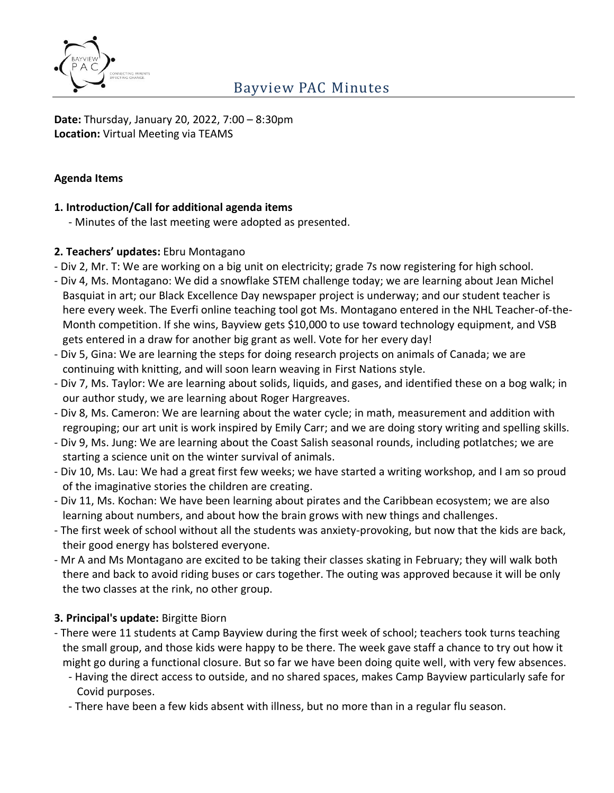

**Date:** Thursday, January 20, 2022, 7:00 – 8:30pm **Location:** Virtual Meeting via TEAMS

#### **Agenda Items**

#### **1. Introduction/Call for additional agenda items**

- Minutes of the last meeting were adopted as presented.

#### **2. Teachers' updates:** Ebru Montagano

- Div 2, Mr. T: We are working on a big unit on electricity; grade 7s now registering for high school.
- Div 4, Ms. Montagano: We did a snowflake STEM challenge today; we are learning about Jean Michel Basquiat in art; our Black Excellence Day newspaper project is underway; and our student teacher is here every week. The Everfi online teaching tool got Ms. Montagano entered in the NHL Teacher-of-the-Month competition. If she wins, Bayview gets \$10,000 to use toward technology equipment, and VSB gets entered in a draw for another big grant as well. Vote for her every day!
- Div 5, Gina: We are learning the steps for doing research projects on animals of Canada; we are continuing with knitting, and will soon learn weaving in First Nations style.
- Div 7, Ms. Taylor: We are learning about solids, liquids, and gases, and identified these on a bog walk; in our author study, we are learning about Roger Hargreaves.
- Div 8, Ms. Cameron: We are learning about the water cycle; in math, measurement and addition with regrouping; our art unit is work inspired by Emily Carr; and we are doing story writing and spelling skills.
- Div 9, Ms. Jung: We are learning about the Coast Salish seasonal rounds, including potlatches; we are starting a science unit on the winter survival of animals.
- Div 10, Ms. Lau: We had a great first few weeks; we have started a writing workshop, and I am so proud of the imaginative stories the children are creating.
- Div 11, Ms. Kochan: We have been learning about pirates and the Caribbean ecosystem; we are also learning about numbers, and about how the brain grows with new things and challenges.
- The first week of school without all the students was anxiety-provoking, but now that the kids are back, their good energy has bolstered everyone.
- Mr A and Ms Montagano are excited to be taking their classes skating in February; they will walk both there and back to avoid riding buses or cars together. The outing was approved because it will be only the two classes at the rink, no other group.

### **3. Principal's update:** Birgitte Biorn

- There were 11 students at Camp Bayview during the first week of school; teachers took turns teaching the small group, and those kids were happy to be there. The week gave staff a chance to try out how it might go during a functional closure. But so far we have been doing quite well, with very few absences.
	- Having the direct access to outside, and no shared spaces, makes Camp Bayview particularly safe for Covid purposes.
	- There have been a few kids absent with illness, but no more than in a regular flu season.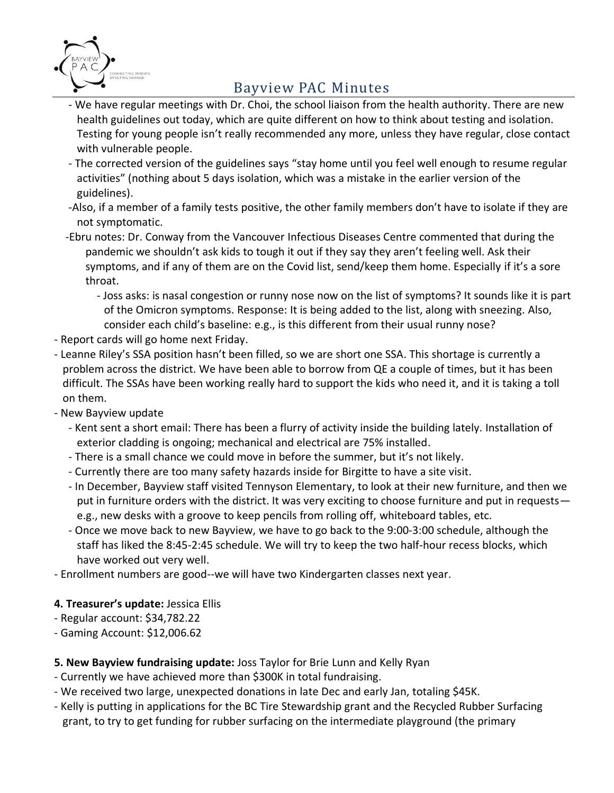

- We have regular meetings with Dr. Choi, the school liaison from the health authority. There are new health guidelines out today, which are quite different on how to think about testing and isolation. Testing for young people isn't really recommended any more, unless they have regular, close contact with vulnerable people.
- The corrected version of the guidelines says "stay home until you feel well enough to resume regular activities" (nothing about 5 days isolation, which was a mistake in the earlier version of the guidelines).
- -Also, if a member of a family tests positive, the other family members don't have to isolate if they are not symptomatic.
- -Ebru notes: Dr. Conway from the Vancouver Infectious Diseases Centre commented that during the pandemic we shouldn't ask kids to tough it out if they say they aren't feeling well. Ask their symptoms, and if any of them are on the Covid list, send/keep them home. Especially if it's a sore throat.
	- Joss asks: is nasal congestion or runny nose now on the list of symptoms? It sounds like it is part of the Omicron symptoms. Response: It is being added to the list, along with sneezing. Also, consider each child's baseline: e.g., is this different from their usual runny nose?
- Report cards will go home next Friday.
- Leanne Riley's SSA position hasn't been filled, so we are short one SSA. This shortage is currently a problem across the district. We have been able to borrow from QE a couple of times, but it has been difficult. The SSAs have been working really hard to support the kids who need it, and it is taking a toll on them.
- New Bayview update
	- Kent sent a short email: There has been a flurry of activity inside the building lately. Installation of exterior cladding is ongoing; mechanical and electrical are 75% installed.
	- There is a small chance we could move in before the summer, but it's not likely.
	- Currently there are too many safety hazards inside for Birgitte to have a site visit.
	- In December, Bayview staff visited Tennyson Elementary, to look at their new furniture, and then we put in furniture orders with the district. It was very exciting to choose furniture and put in requests e.g., new desks with a groove to keep pencils from rolling off, whiteboard tables, etc.
	- Once we move back to new Bayview, we have to go back to the 9:00-3:00 schedule, although the staff has liked the 8:45-2:45 schedule. We will try to keep the two half-hour recess blocks, which have worked out very well.
- Enrollment numbers are good--we will have two Kindergarten classes next year.

### **4. Treasurer's update:** Jessica Ellis

- Regular account: \$34,782.22
- Gaming Account: \$12,006.62

### **5. New Bayview fundraising update:** Joss Taylor for Brie Lunn and Kelly Ryan

- Currently we have achieved more than \$300K in total fundraising.
- We received two large, unexpected donations in late Dec and early Jan, totaling \$45K.
- Kelly is putting in applications for the BC Tire Stewardship grant and the Recycled Rubber Surfacing grant, to try to get funding for rubber surfacing on the intermediate playground (the primary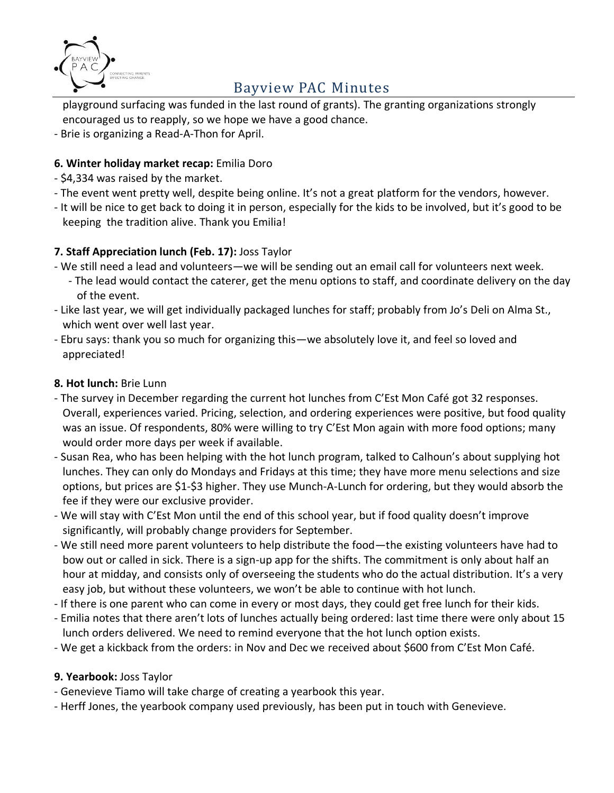

playground surfacing was funded in the last round of grants). The granting organizations strongly encouraged us to reapply, so we hope we have a good chance.

- Brie is organizing a Read-A-Thon for April.

#### **6. Winter holiday market recap:** Emilia Doro

- \$4,334 was raised by the market.
- The event went pretty well, despite being online. It's not a great platform for the vendors, however.
- It will be nice to get back to doing it in person, especially for the kids to be involved, but it's good to be keeping the tradition alive. Thank you Emilia!

### **7. Staff Appreciation lunch (Feb. 17):** Joss Taylor

- We still need a lead and volunteers—we will be sending out an email call for volunteers next week.
	- The lead would contact the caterer, get the menu options to staff, and coordinate delivery on the day of the event.
- Like last year, we will get individually packaged lunches for staff; probably from Jo's Deli on Alma St., which went over well last year.
- Ebru says: thank you so much for organizing this—we absolutely love it, and feel so loved and appreciated!

#### **8. Hot lunch:** Brie Lunn

- The survey in December regarding the current hot lunches from C'Est Mon Café got 32 responses. Overall, experiences varied. Pricing, selection, and ordering experiences were positive, but food quality was an issue. Of respondents, 80% were willing to try C'Est Mon again with more food options; many would order more days per week if available.
- Susan Rea, who has been helping with the hot lunch program, talked to Calhoun's about supplying hot lunches. They can only do Mondays and Fridays at this time; they have more menu selections and size options, but prices are \$1-\$3 higher. They use Munch-A-Lunch for ordering, but they would absorb the fee if they were our exclusive provider.
- We will stay with C'Est Mon until the end of this school year, but if food quality doesn't improve significantly, will probably change providers for September.
- We still need more parent volunteers to help distribute the food—the existing volunteers have had to bow out or called in sick. There is a sign-up app for the shifts. The commitment is only about half an hour at midday, and consists only of overseeing the students who do the actual distribution. It's a very easy job, but without these volunteers, we won't be able to continue with hot lunch.
- If there is one parent who can come in every or most days, they could get free lunch for their kids.
- Emilia notes that there aren't lots of lunches actually being ordered: last time there were only about 15 lunch orders delivered. We need to remind everyone that the hot lunch option exists.
- We get a kickback from the orders: in Nov and Dec we received about \$600 from C'Est Mon Café.

### **9. Yearbook:** Joss Taylor

- Genevieve Tiamo will take charge of creating a yearbook this year.

- Herff Jones, the yearbook company used previously, has been put in touch with Genevieve.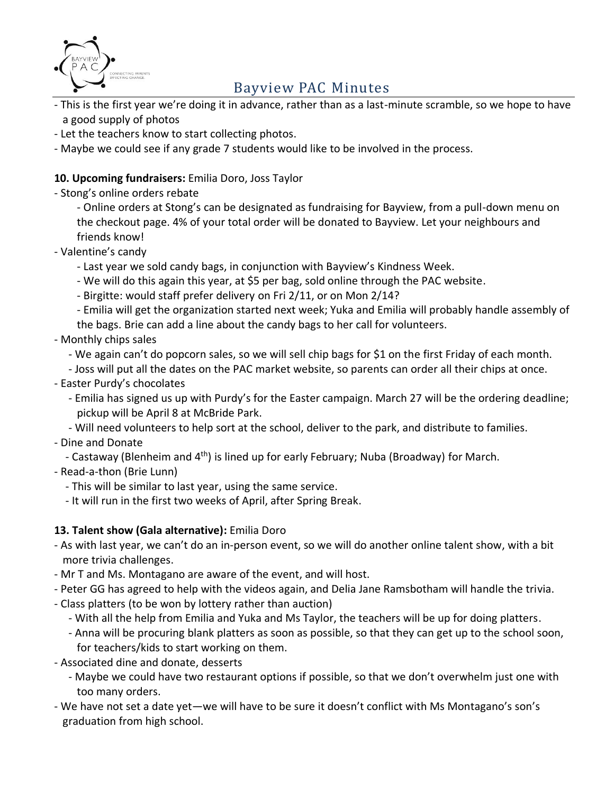

- This is the first year we're doing it in advance, rather than as a last-minute scramble, so we hope to have a good supply of photos
- Let the teachers know to start collecting photos.
- Maybe we could see if any grade 7 students would like to be involved in the process.

#### **10. Upcoming fundraisers:** Emilia Doro, Joss Taylor

- Stong's online orders rebate

- Online orders at Stong's can be designated as fundraising for Bayview, from a pull-down menu on the checkout page. 4% of your total order will be donated to Bayview. Let your neighbours and friends know!

- Valentine's candy
	- Last year we sold candy bags, in conjunction with Bayview's Kindness Week.
	- We will do this again this year, at \$5 per bag, sold online through the PAC website.
	- Birgitte: would staff prefer delivery on Fri 2/11, or on Mon 2/14?

- Emilia will get the organization started next week; Yuka and Emilia will probably handle assembly of the bags. Brie can add a line about the candy bags to her call for volunteers.

#### - Monthly chips sales

- We again can't do popcorn sales, so we will sell chip bags for \$1 on the first Friday of each month.

- Joss will put all the dates on the PAC market website, so parents can order all their chips at once.
- Easter Purdy's chocolates
	- Emilia has signed us up with Purdy's for the Easter campaign. March 27 will be the ordering deadline; pickup will be April 8 at McBride Park.
	- Will need volunteers to help sort at the school, deliver to the park, and distribute to families.

#### - Dine and Donate

- Castaway (Blenheim and 4<sup>th</sup>) is lined up for early February; Nuba (Broadway) for March.

- Read-a-thon (Brie Lunn)
	- This will be similar to last year, using the same service.
	- It will run in the first two weeks of April, after Spring Break.

#### **13. Talent show (Gala alternative):** Emilia Doro

- As with last year, we can't do an in-person event, so we will do another online talent show, with a bit more trivia challenges.
- Mr T and Ms. Montagano are aware of the event, and will host.
- Peter GG has agreed to help with the videos again, and Delia Jane Ramsbotham will handle the trivia.
- Class platters (to be won by lottery rather than auction)
	- With all the help from Emilia and Yuka and Ms Taylor, the teachers will be up for doing platters.
	- Anna will be procuring blank platters as soon as possible, so that they can get up to the school soon, for teachers/kids to start working on them.
- Associated dine and donate, desserts
	- Maybe we could have two restaurant options if possible, so that we don't overwhelm just one with too many orders.
- We have not set a date yet—we will have to be sure it doesn't conflict with Ms Montagano's son's graduation from high school.